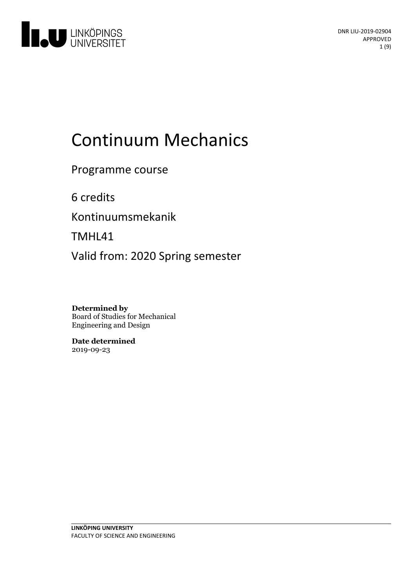

# Continuum Mechanics

Programme course

6 credits

Kontinuumsmekanik

TMHL41

Valid from: 2020 Spring semester

**Determined by** Board of Studies for Mechanical Engineering and Design

**Date determined** 2019-09-23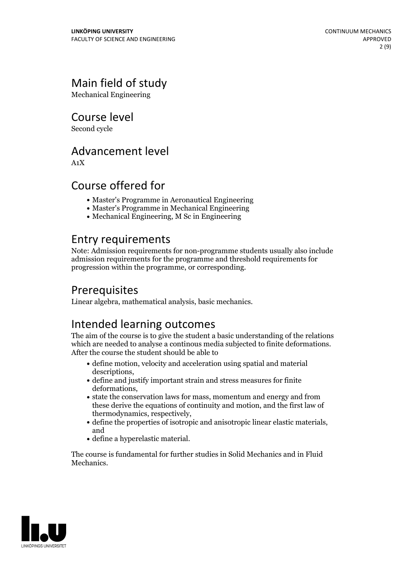# Main field of study

Mechanical Engineering

Course level

Second cycle

### Advancement level

A1X

### Course offered for

- Master's Programme in Aeronautical Engineering
- Master's Programme in Mechanical Engineering
- Mechanical Engineering, M Sc in Engineering

### Entry requirements

Note: Admission requirements for non-programme students usually also include admission requirements for the programme and threshold requirements for progression within the programme, or corresponding.

# **Prerequisites**

Linear algebra, mathematical analysis, basic mechanics.

# Intended learning outcomes

The aim of the course is to give the student a basic understanding of the relations which are needed to analyse <sup>a</sup> continous media subjected to finite deformations. After the course the student should be able to

- define motion, velocity and acceleration using spatial and material descriptions,<br>• define and justify important strain and stress measures for finite
- deformations,<br>• state the conservation laws for mass, momentum and energy and from
- these derive the equations of continuity and motion, and the first law of
- thermodynamics, respectively,<br>
define the properties of isotropic and anisotropic linear elastic materials, and
- define a hyperelastic material.

The course is fundamental for further studies in Solid Mechanics and in Fluid **Mechanics** 

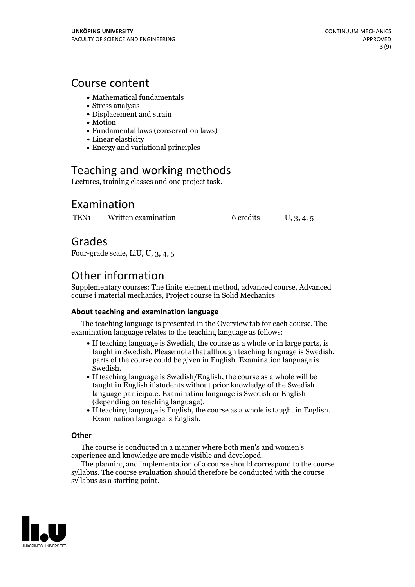### Course content

- Mathematical fundamentals
- Stress analysis
- Displacement and strain
- Motion
- Fundamental laws (conservation laws)
- Linear elasticity
- Energy and variational principles

# Teaching and working methods

Lectures, training classes and one project task.

### Examination

TEN<sub>1</sub> Written examination 6 credits U, 3, 4, 5

### Grades

Four-grade scale, LiU, U, 3, 4, 5

# Other information

Supplementary courses: The finite element method, advanced course, Advanced course i material mechanics, Project course in Solid Mechanics

#### **About teaching and examination language**

The teaching language is presented in the Overview tab for each course. The examination language relates to the teaching language as follows:

- If teaching language is Swedish, the course as a whole or in large parts, is taught in Swedish. Please note that although teaching language is Swedish, parts of the course could be given in English. Examination language is
- If teaching language is Swedish/English, the course as a whole will be taught in English if students without prior knowledge of the Swedish language participate. Examination language is Swedish or English
- $\bullet$  If teaching language is English, the course as a whole is taught in English. Examination language is English.

#### **Other**

The course is conducted in a manner where both men's and women's

The planning and implementation of a course should correspond to the course  $\overline{\phantom{a}}$ syllabus. The course evaluation should therefore be conducted with the course syllabus as a starting point.

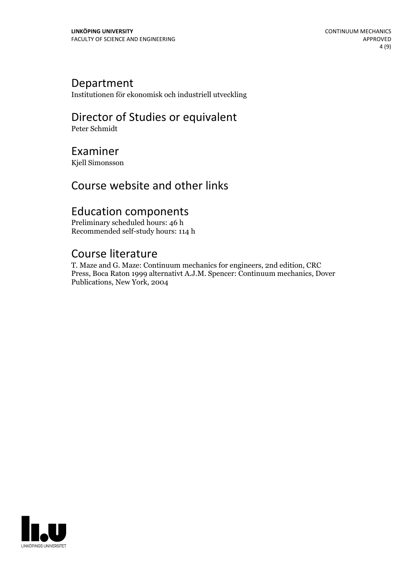# Department

Institutionen för ekonomisk och industriell utveckling

# Director of Studies or equivalent

Peter Schmidt

### Examiner

Kjell Simonsson

# Course website and other links

# Education components

Preliminary scheduled hours: 46 h Recommended self-study hours: 114 h

### Course literature

T. Maze and G. Maze: Continuum mechanics for engineers, 2nd edition, CRC Press, Boca Raton 1999 alternativt A.J.M. Spencer: Continuum mechanics, Dover Publications, New York, 2004

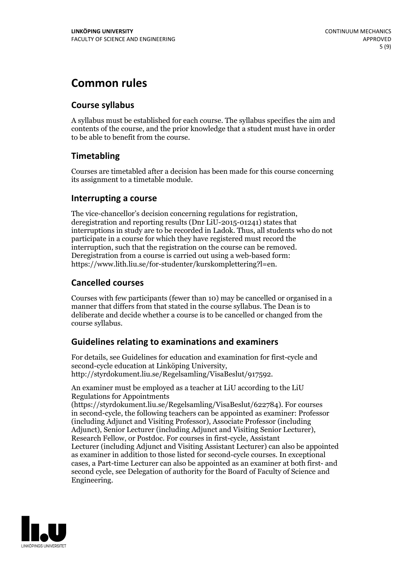# **Common rules**

#### **Course syllabus**

A syllabus must be established for each course. The syllabus specifies the aim and contents of the course, and the prior knowledge that a student must have in order to be able to benefit from the course.

### **Timetabling**

Courses are timetabled after a decision has been made for this course concerning its assignment to a timetable module.

#### **Interrupting a course**

The vice-chancellor's decision concerning regulations for registration, deregistration and reporting results (Dnr LiU-2015-01241) states that interruptions in study are to be recorded in Ladok. Thus, all students who do not participate in a course for which they have registered must record the interruption, such that the registration on the course can be removed. Deregistration from <sup>a</sup> course is carried outusing <sup>a</sup> web-based form: https://www.lith.liu.se/for-studenter/kurskomplettering?l=en.

### **Cancelled courses**

Courses with few participants (fewer than 10) may be cancelled or organised in a manner that differs from that stated in the course syllabus. The Dean is to deliberate and decide whether a course is to be cancelled or changed from the course syllabus.

### **Guidelines relatingto examinations and examiners**

For details, see Guidelines for education and examination for first-cycle and second-cycle education at Linköping University, http://styrdokument.liu.se/Regelsamling/VisaBeslut/917592.

An examiner must be employed as a teacher at LiU according to the LiU Regulations for Appointments

(https://styrdokument.liu.se/Regelsamling/VisaBeslut/622784). For courses in second-cycle, the following teachers can be appointed as examiner: Professor (including Adjunct and Visiting Professor), Associate Professor (including Adjunct), Senior Lecturer (including Adjunct and Visiting Senior Lecturer), Research Fellow, or Postdoc. For courses in first-cycle, Assistant Lecturer (including Adjunct and Visiting Assistant Lecturer) can also be appointed as examiner in addition to those listed for second-cycle courses. In exceptional cases, a Part-time Lecturer can also be appointed as an examiner at both first- and second cycle, see Delegation of authority for the Board of Faculty of Science and Engineering.

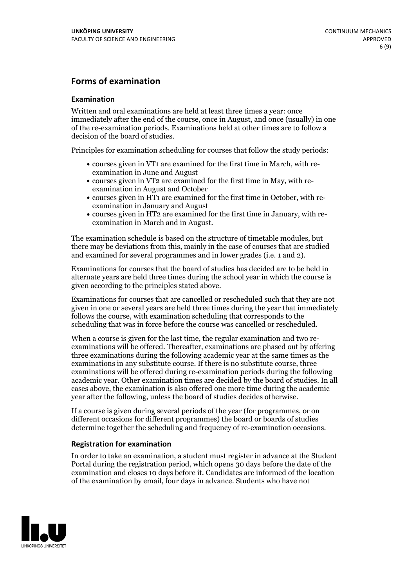#### **Forms of examination**

#### **Examination**

Written and oral examinations are held at least three times a year: once immediately after the end of the course, once in August, and once (usually) in one of the re-examination periods. Examinations held at other times are to follow a decision of the board of studies.

Principles for examination scheduling for courses that follow the study periods:

- courses given in VT1 are examined for the first time in March, with re-examination in June and August
- courses given in VT2 are examined for the first time in May, with re-examination in August and October
- courses given in HT1 are examined for the first time in October, with re-examination in January and August
- courses given in HT2 are examined for the first time in January, with re-examination in March and in August.

The examination schedule is based on the structure of timetable modules, but there may be deviations from this, mainly in the case of courses that are studied and examined for several programmes and in lower grades (i.e. 1 and 2).

Examinations for courses that the board of studies has decided are to be held in alternate years are held three times during the school year in which the course is given according to the principles stated above.

Examinations for courses that are cancelled orrescheduled such that they are not given in one or several years are held three times during the year that immediately follows the course, with examination scheduling that corresponds to the scheduling that was in force before the course was cancelled or rescheduled.

When a course is given for the last time, the regular examination and two re-<br>examinations will be offered. Thereafter, examinations are phased out by offering three examinations during the following academic year at the same times as the examinations in any substitute course. If there is no substitute course, three examinations will be offered during re-examination periods during the following academic year. Other examination times are decided by the board of studies. In all cases above, the examination is also offered one more time during the academic year after the following, unless the board of studies decides otherwise.

If a course is given during several periods of the year (for programmes, or on different occasions for different programmes) the board or boards of studies determine together the scheduling and frequency of re-examination occasions.

#### **Registration for examination**

In order to take an examination, a student must register in advance at the Student Portal during the registration period, which opens 30 days before the date of the examination and closes 10 days before it. Candidates are informed of the location of the examination by email, four days in advance. Students who have not

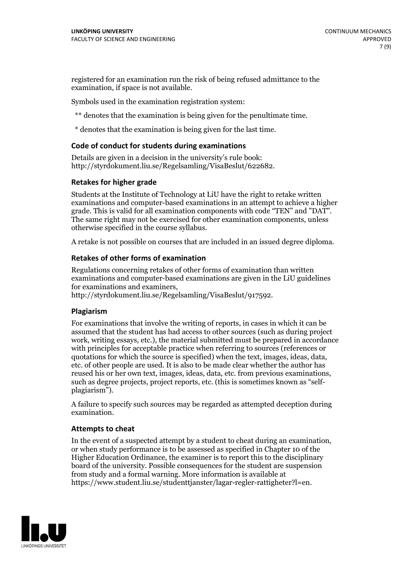registered for an examination run the risk of being refused admittance to the examination, if space is not available.

Symbols used in the examination registration system:

\*\* denotes that the examination is being given for the penultimate time.

\* denotes that the examination is being given for the last time.

#### **Code of conduct for students during examinations**

Details are given in a decision in the university's rule book: http://styrdokument.liu.se/Regelsamling/VisaBeslut/622682.

#### **Retakes for higher grade**

Students at the Institute of Technology at LiU have the right to retake written examinations and computer-based examinations in an attempt to achieve a higher grade. This is valid for all examination components with code "TEN" and "DAT". The same right may not be exercised for other examination components, unless otherwise specified in the course syllabus.

A retake is not possible on courses that are included in an issued degree diploma.

#### **Retakes of other forms of examination**

Regulations concerning retakes of other forms of examination than written examinations and computer-based examinations are given in the LiU guidelines

http://styrdokument.liu.se/Regelsamling/VisaBeslut/917592.

#### **Plagiarism**

For examinations that involve the writing of reports, in cases in which it can be assumed that the student has had access to other sources (such as during project work, writing essays, etc.), the material submitted must be prepared in accordance with principles for acceptable practice when referring to sources (references or quotations for which the source is specified) when the text, images, ideas, data,  $\vec{e}$  etc. of other people are used. It is also to be made clear whether the author has reused his or her own text, images, ideas, data, etc. from previous examinations, such as degree projects, project reports, etc. (this is sometimes known as "self- plagiarism").

A failure to specify such sources may be regarded as attempted deception during examination.

#### **Attempts to cheat**

In the event of <sup>a</sup> suspected attempt by <sup>a</sup> student to cheat during an examination, or when study performance is to be assessed as specified in Chapter <sup>10</sup> of the Higher Education Ordinance, the examiner is to report this to the disciplinary board of the university. Possible consequences for the student are suspension from study and a formal warning. More information is available at https://www.student.liu.se/studenttjanster/lagar-regler-rattigheter?l=en.

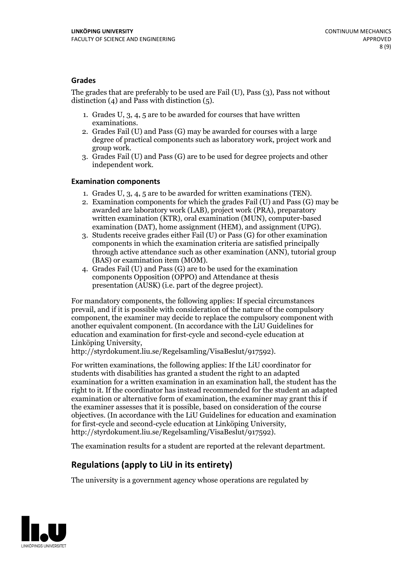#### **Grades**

The grades that are preferably to be used are Fail (U), Pass (3), Pass not without distinction  $(4)$  and Pass with distinction  $(5)$ .

- 1. Grades U, 3, 4, 5 are to be awarded for courses that have written
- examinations. 2. Grades Fail (U) and Pass (G) may be awarded for courses with <sup>a</sup> large degree of practical components such as laboratory work, project work and group work. 3. Grades Fail (U) and Pass (G) are to be used for degree projects and other
- independent work.

#### **Examination components**

- 
- 1. Grades U, 3, 4, <sup>5</sup> are to be awarded for written examinations (TEN). 2. Examination components for which the grades Fail (U) and Pass (G) may be awarded are laboratory work (LAB), project work (PRA), preparatory written examination (KTR), oral examination (MUN), computer-based
- examination (DAT), home assignment (HEM), and assignment (UPG). 3. Students receive grades either Fail (U) or Pass (G) for other examination components in which the examination criteria are satisfied principally through active attendance such as other examination (ANN), tutorial group (BAS) or examination item (MOM). 4. Grades Fail (U) and Pass (G) are to be used for the examination
- components Opposition (OPPO) and Attendance at thesis presentation (AUSK) (i.e. part of the degree project).

For mandatory components, the following applies: If special circumstances prevail, and if it is possible with consideration of the nature of the compulsory component, the examiner may decide to replace the compulsory component with another equivalent component. (In accordance with the LiU Guidelines for education and examination for first-cycle and second-cycle education at Linköping University, http://styrdokument.liu.se/Regelsamling/VisaBeslut/917592).

For written examinations, the following applies: If the LiU coordinator for students with disabilities has granted a student the right to an adapted examination for a written examination in an examination hall, the student has the right to it. If the coordinator has instead recommended for the student an adapted examination or alternative form of examination, the examiner may grant this if the examiner assesses that it is possible, based on consideration of the course objectives. (In accordance with the LiU Guidelines for education and examination for first-cycle and second-cycle education at Linköping University, http://styrdokument.liu.se/Regelsamling/VisaBeslut/917592).

The examination results for a student are reported at the relevant department.

### **Regulations (applyto LiU in its entirety)**

The university is a government agency whose operations are regulated by